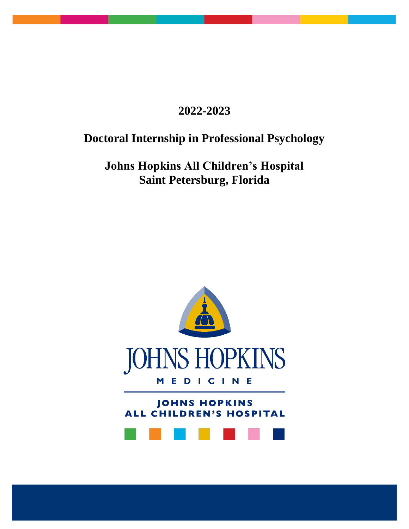# **2022-2023**

# **Doctoral Internship in Professional Psychology**

**Johns Hopkins All Children's Hospital Saint Petersburg, Florida** 



**JOHNS HOPKINS ALL CHILDREN'S HOSPITAL** 

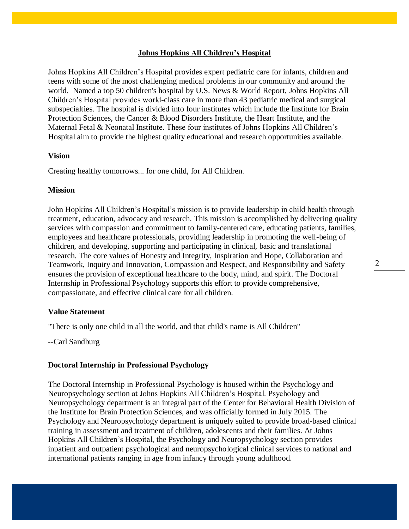## **Johns Hopkins All Children's Hospital**

Johns Hopkins All Children's Hospital provides expert pediatric care for infants, children and teens with some of the most challenging medical problems in our community and around the world. Named a top 50 children's hospital by U.S. News & World Report, Johns Hopkins All Children's Hospital provides world-class care in more than 43 pediatric medical and surgical subspecialties. The hospital is divided into four institutes which include the Institute for Brain Protection Sciences, the Cancer & Blood Disorders Institute, the Heart Institute, and the Maternal Fetal & Neonatal Institute. These four institutes of Johns Hopkins All Children's Hospital aim to provide the highest quality educational and research opportunities available.

#### **Vision**

Creating healthy tomorrows... for one child, for All Children.

#### **Mission**

John Hopkins All Children's Hospital's mission is to provide leadership in child health through treatment, education, advocacy and research. This mission is accomplished by delivering quality services with compassion and commitment to family-centered care, educating patients, families, employees and healthcare professionals, providing leadership in promoting the well-being of children, and developing, supporting and participating in clinical, basic and translational research. The core values of Honesty and Integrity, Inspiration and Hope, Collaboration and Teamwork, Inquiry and Innovation, Compassion and Respect, and Responsibility and Safety ensures the provision of exceptional healthcare to the body, mind, and spirit. The Doctoral Internship in Professional Psychology supports this effort to provide comprehensive, compassionate, and effective clinical care for all children.

#### **Value Statement**

"There is only one child in all the world, and that child's name is All Children"

--Carl Sandburg

## **Doctoral Internship in Professional Psychology**

The Doctoral Internship in Professional Psychology is housed within the Psychology and Neuropsychology section at Johns Hopkins All Children's Hospital. Psychology and Neuropsychology department is an integral part of the Center for Behavioral Health Division of the Institute for Brain Protection Sciences, and was officially formed in July 2015. The Psychology and Neuropsychology department is uniquely suited to provide broad-based clinical training in assessment and treatment of children, adolescents and their families. At Johns Hopkins All Children's Hospital, the Psychology and Neuropsychology section provides inpatient and outpatient psychological and neuropsychological clinical services to national and international patients ranging in age from infancy through young adulthood.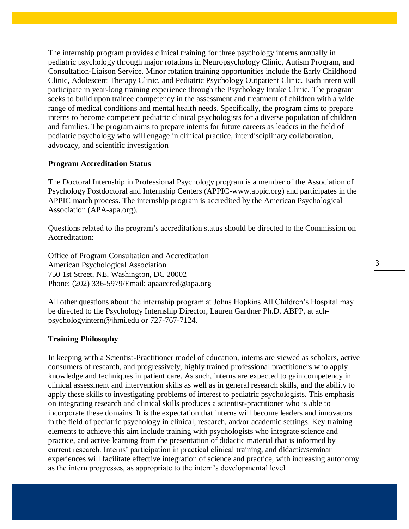The internship program provides clinical training for three psychology interns annually in pediatric psychology through major rotations in Neuropsychology Clinic, Autism Program, and Consultation-Liaison Service. Minor rotation training opportunities include the Early Childhood Clinic, Adolescent Therapy Clinic, and Pediatric Psychology Outpatient Clinic. Each intern will participate in year-long training experience through the Psychology Intake Clinic. The program seeks to build upon trainee competency in the assessment and treatment of children with a wide range of medical conditions and mental health needs. Specifically, the program aims to prepare interns to become competent pediatric clinical psychologists for a diverse population of children and families. The program aims to prepare interns for future careers as leaders in the field of pediatric psychology who will engage in clinical practice, interdisciplinary collaboration, advocacy, and scientific investigation

#### **Program Accreditation Status**

The Doctoral Internship in Professional Psychology program is a member of the Association of Psychology Postdoctoral and Internship Centers (APPIC-www.appic.org) and participates in the APPIC match process. The internship program is accredited by the American Psychological Association (APA-apa.org).

Questions related to the program's accreditation status should be directed to the Commission on Accreditation:

Office of Program Consultation and Accreditation American Psychological Association 750 1st Street, NE, Washington, DC 20002 Phone: (202) 336-5979/Email: apaaccred@apa.org

All other questions about the internship program at Johns Hopkins All Children's Hospital may be directed to the Psychology Internship Director, Lauren Gardner Ph.D. ABPP, at achpsychologyintern@jhmi.edu or 727-767-7124.

#### **Training Philosophy**

In keeping with a Scientist-Practitioner model of education, interns are viewed as scholars, active consumers of research, and progressively, highly trained professional practitioners who apply knowledge and techniques in patient care. As such, interns are expected to gain competency in clinical assessment and intervention skills as well as in general research skills, and the ability to apply these skills to investigating problems of interest to pediatric psychologists. This emphasis on integrating research and clinical skills produces a scientist-practitioner who is able to incorporate these domains. It is the expectation that interns will become leaders and innovators in the field of pediatric psychology in clinical, research, and/or academic settings. Key training elements to achieve this aim include training with psychologists who integrate science and practice, and active learning from the presentation of didactic material that is informed by current research. Interns' participation in practical clinical training, and didactic/seminar experiences will facilitate effective integration of science and practice, with increasing autonomy as the intern progresses, as appropriate to the intern's developmental level.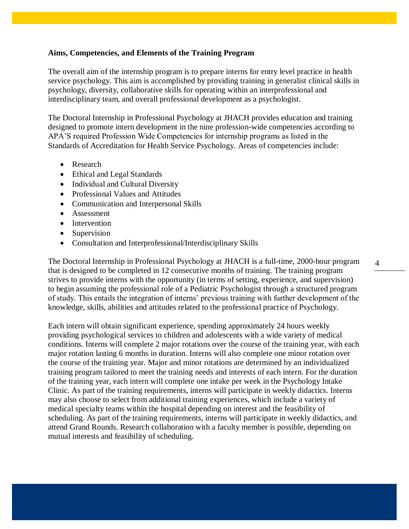## **Aims, Competencies, and Elements of the Training Program**

The overall aim of the internship program is to prepare interns for entry level practice in health service psychology. This aim is accomplished by providing training in generalist clinical skills in psychology, diversity, collaborative skills for operating within an interprofessional and interdisciplinary team, and overall professional development as a psychologist.

The Doctoral Internship in Professional Psychology at JHACH provides education and training designed to promote intern development in the nine profession-wide competencies according to APA'S required Profession Wide Competencies for internship programs as listed in the Standards of Accreditation for Health Service Psychology. Areas of competencies include:

- Research
- Ethical and Legal Standards
- Individual and Cultural Diversity
- Professional Values and Attitudes
- Communication and Interpersonal Skills
- Assessment
- Intervention
- Supervision
- Consultation and Interprofessional/Interdisciplinary Skills

The Doctoral Internship in Professional Psychology at JHACH is a full-time, 2000-hour program that is designed to be completed in 12 consecutive months of training. The training program strives to provide interns with the opportunity (in terms of setting, experience, and supervision) to begin assuming the professional role of a Pediatric Psychologist through a structured program of study. This entails the integration of interns' previous training with further development of the knowledge, skills, abilities and attitudes related to the professional practice of Psychology.

Each intern will obtain significant experience, spending approximately 24 hours weekly providing psychological services to children and adolescents with a wide variety of medical conditions. Interns will complete 2 major rotations over the course of the training year, with each major rotation lasting 6 months in duration. Interns will also complete one minor rotation over the course of the training year. Major and minor rotations are determined by an individualized training program tailored to meet the training needs and interests of each intern. For the duration of the training year, each intern will complete one intake per week in the Psychology Intake Clinic. As part of the training requirements, interns will participate in weekly didactics. Interns may also choose to select from additional training experiences, which include a variety of medical specialty teams within the hospital depending on interest and the feasibility of scheduling. As part of the training requirements, interns will participate in weekly didactics, and attend Grand Rounds. Research collaboration with a faculty member is possible, depending on mutual interests and feasibility of scheduling.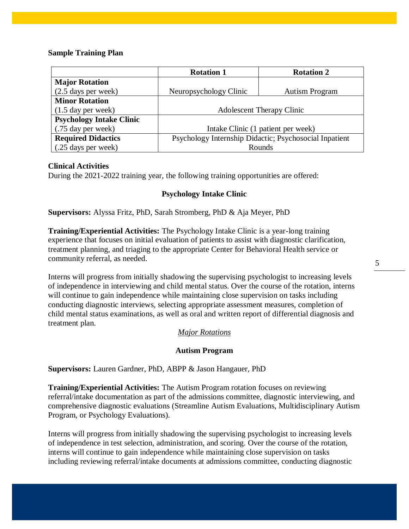## **Sample Training Plan**

|                                 | <b>Rotation 1</b>                                      | <b>Rotation 2</b>     |
|---------------------------------|--------------------------------------------------------|-----------------------|
| <b>Major Rotation</b>           |                                                        |                       |
| (2.5 days per week)             | Neuropsychology Clinic                                 | <b>Autism Program</b> |
| <b>Minor Rotation</b>           |                                                        |                       |
| $(1.5$ day per week)            | <b>Adolescent Therapy Clinic</b>                       |                       |
| <b>Psychology Intake Clinic</b> |                                                        |                       |
| (.75 day per week)              | Intake Clinic (1 patient per week)                     |                       |
| <b>Required Didactics</b>       | Psychology Internship Didactic; Psychosocial Inpatient |                       |
| (.25 days per week)             | Rounds                                                 |                       |

## **Clinical Activities**

During the 2021-2022 training year, the following training opportunities are offered:

# **Psychology Intake Clinic**

**Supervisors:** Alyssa Fritz, PhD, Sarah Stromberg, PhD & Aja Meyer, PhD

**Training/Experiential Activities:** The Psychology Intake Clinic is a year-long training experience that focuses on initial evaluation of patients to assist with diagnostic clarification, treatment planning, and triaging to the appropriate Center for Behavioral Health service or community referral, as needed.

Interns will progress from initially shadowing the supervising psychologist to increasing levels of independence in interviewing and child mental status. Over the course of the rotation, interns will continue to gain independence while maintaining close supervision on tasks including conducting diagnostic interviews, selecting appropriate assessment measures, completion of child mental status examinations, as well as oral and written report of differential diagnosis and treatment plan.

# *Major Rotations*

## **Autism Program**

**Supervisors:** Lauren Gardner, PhD, ABPP & Jason Hangauer, PhD

**Training/Experiential Activities:** The Autism Program rotation focuses on reviewing referral/intake documentation as part of the admissions committee, diagnostic interviewing, and comprehensive diagnostic evaluations (Streamline Autism Evaluations, Multidisciplinary Autism Program, or Psychology Evaluations).

Interns will progress from initially shadowing the supervising psychologist to increasing levels of independence in test selection, administration, and scoring. Over the course of the rotation, interns will continue to gain independence while maintaining close supervision on tasks including reviewing referral/intake documents at admissions committee, conducting diagnostic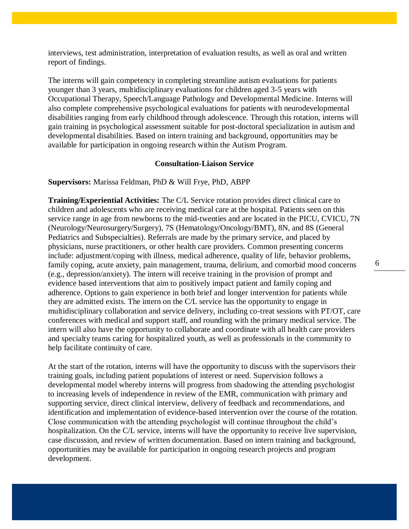interviews, test administration, interpretation of evaluation results, as well as oral and written report of findings.

The interns will gain competency in completing streamline autism evaluations for patients younger than 3 years, multidisciplinary evaluations for children aged 3-5 years with Occupational Therapy, Speech/Language Pathology and Developmental Medicine. Interns will also complete comprehensive psychological evaluations for patients with neurodevelopmental disabilities ranging from early childhood through adolescence. Through this rotation, interns will gain training in psychological assessment suitable for post-doctoral specialization in autism and developmental disabilities. Based on intern training and background, opportunities may be available for participation in ongoing research within the Autism Program.

#### **Consultation-Liaison Service**

**Supervisors:** Marissa Feldman, PhD & Will Frye, PhD, ABPP

**Training/Experiential Activities:** The C/L Service rotation provides direct clinical care to children and adolescents who are receiving medical care at the hospital. Patients seen on this service range in age from newborns to the mid-twenties and are located in the PICU, CVICU, 7N (Neurology/Neurosurgery/Surgery), 7S (Hematology/Oncology/BMT), 8N, and 8S (General Pediatrics and Subspecialties). Referrals are made by the primary service, and placed by physicians, nurse practitioners, or other health care providers. Common presenting concerns include: adjustment/coping with illness, medical adherence, quality of life, behavior problems, family coping, acute anxiety, pain management, trauma, delirium, and comorbid mood concerns (e.g., depression/anxiety). The intern will receive training in the provision of prompt and evidence based interventions that aim to positively impact patient and family coping and adherence. Options to gain experience in both brief and longer intervention for patients while they are admitted exists. The intern on the C/L service has the opportunity to engage in multidisciplinary collaboration and service delivery, including co-treat sessions with PT/OT, care conferences with medical and support staff, and rounding with the primary medical service. The intern will also have the opportunity to collaborate and coordinate with all health care providers and specialty teams caring for hospitalized youth, as well as professionals in the community to help facilitate continuity of care.

At the start of the rotation, interns will have the opportunity to discuss with the supervisors their training goals, including patient populations of interest or need. Supervision follows a developmental model whereby interns will progress from shadowing the attending psychologist to increasing levels of independence in review of the EMR, communication with primary and supporting service, direct clinical interview, delivery of feedback and recommendations, and identification and implementation of evidence-based intervention over the course of the rotation. Close communication with the attending psychologist will continue throughout the child's hospitalization. On the C/L service, interns will have the opportunity to receive live supervision, case discussion, and review of written documentation. Based on intern training and background, opportunities may be available for participation in ongoing research projects and program development.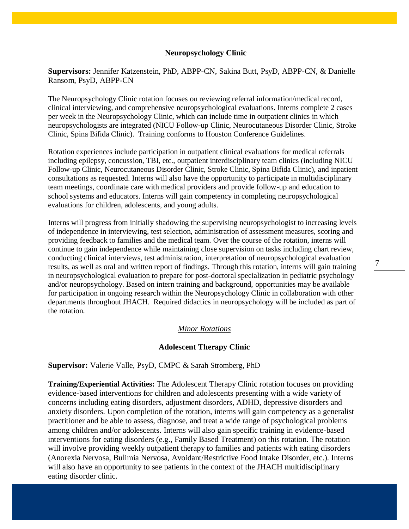#### **Neuropsychology Clinic**

**Supervisors:** Jennifer Katzenstein, PhD, ABPP-CN, Sakina Butt, PsyD, ABPP-CN, & Danielle Ransom, PsyD, ABPP-CN

The Neuropsychology Clinic rotation focuses on reviewing referral information/medical record, clinical interviewing, and comprehensive neuropsychological evaluations. Interns complete 2 cases per week in the Neuropsychology Clinic, which can include time in outpatient clinics in which neuropsychologists are integrated (NICU Follow-up Clinic, Neurocutaneous Disorder Clinic, Stroke Clinic, Spina Bifida Clinic). Training conforms to Houston Conference Guidelines.

Rotation experiences include participation in outpatient clinical evaluations for medical referrals including epilepsy, concussion, TBI, etc., outpatient interdisciplinary team clinics (including NICU Follow-up Clinic, Neurocutaneous Disorder Clinic, Stroke Clinic, Spina Bifida Clinic), and inpatient consultations as requested. Interns will also have the opportunity to participate in multidisciplinary team meetings, coordinate care with medical providers and provide follow-up and education to school systems and educators. Interns will gain competency in completing neuropsychological evaluations for children, adolescents, and young adults.

Interns will progress from initially shadowing the supervising neuropsychologist to increasing levels of independence in interviewing, test selection, administration of assessment measures, scoring and providing feedback to families and the medical team. Over the course of the rotation, interns will continue to gain independence while maintaining close supervision on tasks including chart review, conducting clinical interviews, test administration, interpretation of neuropsychological evaluation results, as well as oral and written report of findings. Through this rotation, interns will gain training in neuropsychological evaluation to prepare for post-doctoral specialization in pediatric psychology and/or neuropsychology. Based on intern training and background, opportunities may be available for participation in ongoing research within the Neuropsychology Clinic in collaboration with other departments throughout JHACH. Required didactics in neuropsychology will be included as part of the rotation.

## *Minor Rotations*

#### **Adolescent Therapy Clinic**

**Supervisor:** Valerie Valle, PsyD, CMPC & Sarah Stromberg, PhD

**Training/Experiential Activities:** The Adolescent Therapy Clinic rotation focuses on providing evidence-based interventions for children and adolescents presenting with a wide variety of concerns including eating disorders, adjustment disorders, ADHD, depressive disorders and anxiety disorders. Upon completion of the rotation, interns will gain competency as a generalist practitioner and be able to assess, diagnose, and treat a wide range of psychological problems among children and/or adolescents. Interns will also gain specific training in evidence-based interventions for eating disorders (e.g., Family Based Treatment) on this rotation. The rotation will involve providing weekly outpatient therapy to families and patients with eating disorders (Anorexia Nervosa, Bulimia Nervosa, Avoidant/Restrictive Food Intake Disorder, etc.). Interns will also have an opportunity to see patients in the context of the JHACH multidisciplinary eating disorder clinic.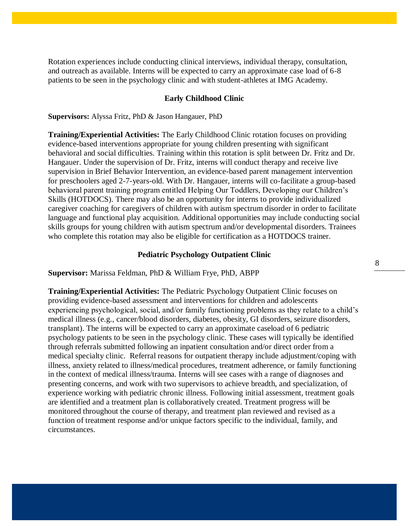Rotation experiences include conducting clinical interviews, individual therapy, consultation, and outreach as available. Interns will be expected to carry an approximate case load of 6-8 patients to be seen in the psychology clinic and with student-athletes at IMG Academy.

#### **Early Childhood Clinic**

**Supervisors:** Alyssa Fritz, PhD & Jason Hangauer, PhD

**Training/Experiential Activities:** The Early Childhood Clinic rotation focuses on providing evidence-based interventions appropriate for young children presenting with significant behavioral and social difficulties. Training within this rotation is split between Dr. Fritz and Dr. Hangauer. Under the supervision of Dr. Fritz, interns will conduct therapy and receive live supervision in Brief Behavior Intervention, an evidence-based parent management intervention for preschoolers aged 2-7-years-old. With Dr. Hangauer, interns will co-facilitate a group-based behavioral parent training program entitled Helping Our Toddlers, Developing our Children's Skills (HOTDOCS). There may also be an opportunity for interns to provide individualized caregiver coaching for caregivers of children with autism spectrum disorder in order to facilitate language and functional play acquisition. Additional opportunities may include conducting social skills groups for young children with autism spectrum and/or developmental disorders. Trainees who complete this rotation may also be eligible for certification as a HOTDOCS trainer.

#### **Pediatric Psychology Outpatient Clinic**

**Supervisor:** Marissa Feldman, PhD & William Frye, PhD, ABPP

**Training/Experiential Activities:** The Pediatric Psychology Outpatient Clinic focuses on providing evidence-based assessment and interventions for children and adolescents experiencing psychological, social, and/or family functioning problems as they relate to a child's medical illness (e.g., cancer/blood disorders, diabetes, obesity, GI disorders, seizure disorders, transplant). The interns will be expected to carry an approximate caseload of 6 pediatric psychology patients to be seen in the psychology clinic. These cases will typically be identified through referrals submitted following an inpatient consultation and/or direct order from a medical specialty clinic. Referral reasons for outpatient therapy include adjustment/coping with illness, anxiety related to illness/medical procedures, treatment adherence, or family functioning in the context of medical illness/trauma. Interns will see cases with a range of diagnoses and presenting concerns, and work with two supervisors to achieve breadth, and specialization, of experience working with pediatric chronic illness. Following initial assessment, treatment goals are identified and a treatment plan is collaboratively created. Treatment progress will be monitored throughout the course of therapy, and treatment plan reviewed and revised as a function of treatment response and/or unique factors specific to the individual, family, and circumstances.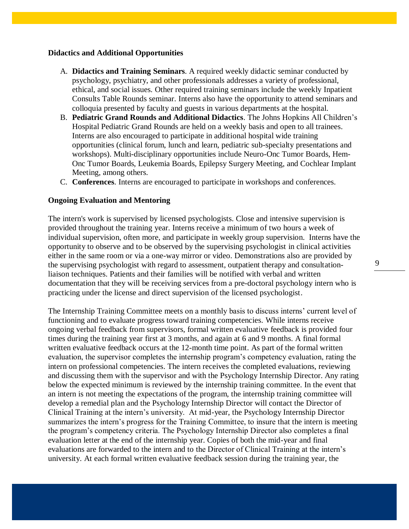#### **Didactics and Additional Opportunities**

- A. **Didactics and Training Seminars**. A required weekly didactic seminar conducted by psychology, psychiatry, and other professionals addresses a variety of professional, ethical, and social issues. Other required training seminars include the weekly Inpatient Consults Table Rounds seminar. Interns also have the opportunity to attend seminars and colloquia presented by faculty and guests in various departments at the hospital.
- B. **Pediatric Grand Rounds and Additional Didactics**. The Johns Hopkins All Children's Hospital Pediatric Grand Rounds are held on a weekly basis and open to all trainees. Interns are also encouraged to participate in additional hospital wide training opportunities (clinical forum, lunch and learn, pediatric sub-specialty presentations and workshops). Multi-disciplinary opportunities include Neuro-Onc Tumor Boards, Hem-Onc Tumor Boards, Leukemia Boards, Epilepsy Surgery Meeting, and Cochlear Implant Meeting, among others.
- C. **Conferences**. Interns are encouraged to participate in workshops and conferences.

# **Ongoing Evaluation and Mentoring**

The intern's work is supervised by licensed psychologists. Close and intensive supervision is provided throughout the training year. Interns receive a minimum of two hours a week of individual supervision, often more, and participate in weekly group supervision. Interns have the opportunity to observe and to be observed by the supervising psychologist in clinical activities either in the same room or via a one-way mirror or video. Demonstrations also are provided by the supervising psychologist with regard to assessment, outpatient therapy and consultationliaison techniques. Patients and their families will be notified with verbal and written documentation that they will be receiving services from a pre-doctoral psychology intern who is practicing under the license and direct supervision of the licensed psychologist.

The Internship Training Committee meets on a monthly basis to discuss interns' current level of functioning and to evaluate progress toward training competencies. While interns receive ongoing verbal feedback from supervisors, formal written evaluative feedback is provided four times during the training year first at 3 months, and again at 6 and 9 months. A final formal written evaluative feedback occurs at the 12-month time point. As part of the formal written evaluation, the supervisor completes the internship program's competency evaluation, rating the intern on professional competencies. The intern receives the completed evaluations, reviewing and discussing them with the supervisor and with the Psychology Internship Director. Any rating below the expected minimum is reviewed by the internship training committee. In the event that an intern is not meeting the expectations of the program, the internship training committee will develop a remedial plan and the Psychology Internship Director will contact the Director of Clinical Training at the intern's university. At mid-year, the Psychology Internship Director summarizes the intern's progress for the Training Committee, to insure that the intern is meeting the program's competency criteria. The Psychology Internship Director also completes a final evaluation letter at the end of the internship year. Copies of both the mid-year and final evaluations are forwarded to the intern and to the Director of Clinical Training at the intern's university. At each formal written evaluative feedback session during the training year, the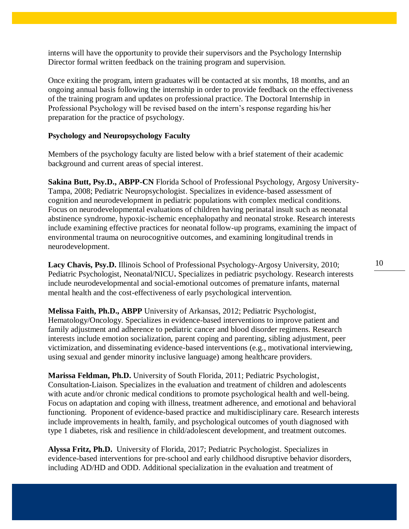interns will have the opportunity to provide their supervisors and the Psychology Internship Director formal written feedback on the training program and supervision.

Once exiting the program, intern graduates will be contacted at six months, 18 months, and an ongoing annual basis following the internship in order to provide feedback on the effectiveness of the training program and updates on professional practice. The Doctoral Internship in Professional Psychology will be revised based on the intern's response regarding his/her preparation for the practice of psychology.

## **Psychology and Neuropsychology Faculty**

Members of the psychology faculty are listed below with a brief statement of their academic background and current areas of special interest.

**Sakina Butt, Psy.D., ABPP-CN** Florida School of Professional Psychology, Argosy University-Tampa, 2008; Pediatric Neuropsychologist. Specializes in evidence-based assessment of cognition and neurodevelopment in pediatric populations with complex medical conditions. Focus on neurodevelopmental evaluations of children having perinatal insult such as neonatal abstinence syndrome, hypoxic-ischemic encephalopathy and neonatal stroke. Research interests include examining effective practices for neonatal follow-up programs, examining the impact of environmental trauma on neurocognitive outcomes, and examining longitudinal trends in neurodevelopment.

**Lacy Chavis, Psy.D.** Illinois School of Professional Psychology-Argosy University, 2010; Pediatric Psychologist, Neonatal/NICU**.** Specializes in pediatric psychology. Research interests include neurodevelopmental and social-emotional outcomes of premature infants, maternal mental health and the cost-effectiveness of early psychological intervention.

**Melissa Faith, Ph.D., ABPP** University of Arkansas, 2012; Pediatric Psychologist, Hematology/Oncology. Specializes in evidence-based interventions to improve patient and family adjustment and adherence to pediatric cancer and blood disorder regimens. Research interests include emotion socialization, parent coping and parenting, sibling adjustment, peer victimization, and disseminating evidence-based interventions (e.g., motivational interviewing, using sexual and gender minority inclusive language) among healthcare providers.

**Marissa Feldman, Ph.D.** University of South Florida, 2011; Pediatric Psychologist, Consultation-Liaison. Specializes in the evaluation and treatment of children and adolescents with acute and/or chronic medical conditions to promote psychological health and well-being. Focus on adaptation and coping with illness, treatment adherence, and emotional and behavioral functioning. Proponent of evidence-based practice and multidisciplinary care. Research interests include improvements in health, family, and psychological outcomes of youth diagnosed with type 1 diabetes, risk and resilience in child/adolescent development, and treatment outcomes.

**Alyssa Fritz, Ph.D.** University of Florida, 2017; Pediatric Psychologist. Specializes in evidence-based interventions for pre-school and early childhood disruptive behavior disorders, including AD/HD and ODD. Additional specialization in the evaluation and treatment of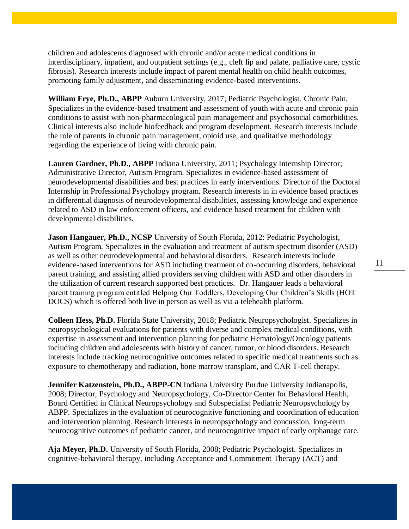children and adolescents diagnosed with chronic and/or acute medical conditions in interdisciplinary, inpatient, and outpatient settings (e.g., cleft lip and palate, palliative care, cystic fibrosis). Research interests include impact of parent mental health on child health outcomes, promoting family adjustment, and disseminating evidence-based interventions.

**William Frye, Ph.D., ABPP** Auburn University, 2017; Pediatric Psychologist, Chronic Pain. Specializes in the evidence-based treatment and assessment of youth with acute and chronic pain conditions to assist with non-pharmacological pain management and psychosocial comorbidities. Clinical interests also include biofeedback and program development. Research interests include the role of parents in chronic pain management, opioid use, and qualitative methodology regarding the experience of living with chronic pain.

**Lauren Gardner, Ph.D., ABPP** Indiana University, 2011; Psychology Internship Director; Administrative Director, Autism Program. Specializes in evidence-based assessment of neurodevelopmental disabilities and best practices in early interventions. Director of the Doctoral Internship in Professional Psychology program. Research interests in in evidence based practices in differential diagnosis of neurodevelopmental disabilities, assessing knowledge and experience related to ASD in law enforcement officers, and evidence based treatment for children with developmental disabilities.

**Jason Hangauer, Ph.D., NCSP** University of South Florida, 2012: Pediatric Psychologist, Autism Program. Specializes in the evaluation and treatment of autism spectrum disorder (ASD) as well as other neurodevelopmental and behavioral disorders. Research interests include evidence-based interventions for ASD including treatment of co-occurring disorders, behavioral parent training, and assisting allied providers serving children with ASD and other disorders in the utilization of current research supported best practices. Dr. Hangauer leads a behavioral parent training program entitled Helping Our Toddlers, Developing Our Children's Skills (HOT DOCS) which is offered both live in person as well as via a telehealth platform.

**Colleen Hess, Ph.D.** Florida State University, 2018; Pediatric Neuropsychologist. Specializes in neuropsychological evaluations for patients with diverse and complex medical conditions, with expertise in assessment and intervention planning for pediatric Hematology/Oncology patients including children and adolescents with history of cancer, tumor, or blood disorders. Research interests include tracking neurocognitive outcomes related to specific medical treatments such as exposure to chemotherapy and radiation, bone marrow transplant, and CAR T-cell therapy.

**Jennifer Katzenstein, Ph.D., ABPP-CN** Indiana University Purdue University Indianapolis, 2008; Director, Psychology and Neuropsychology, Co-Director Center for Behavioral Health, Board Certified in Clinical Neuropsychology and Subspecialist Pediatric Neuropsychology by ABPP. Specializes in the evaluation of neurocognitive functioning and coordination of education and intervention planning. Research interests in neuropsychology and concussion, long-term neurocognitive outcomes of pediatric cancer, and neurocognitive impact of early orphanage care.

**Aja Meyer, Ph.D.** University of South Florida, 2008; Pediatric Psychologist. Specializes in cognitive-behavioral therapy, including Acceptance and Commitment Therapy (ACT) and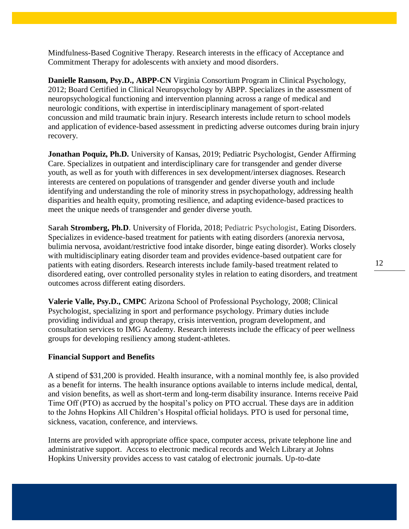Mindfulness-Based Cognitive Therapy. Research interests in the efficacy of Acceptance and Commitment Therapy for adolescents with anxiety and mood disorders.

**Danielle Ransom, Psy.D., ABPP-CN** Virginia Consortium Program in Clinical Psychology, 2012; Board Certified in Clinical Neuropsychology by ABPP. Specializes in the assessment of neuropsychological functioning and intervention planning across a range of medical and neurologic conditions, with expertise in interdisciplinary management of sport-related concussion and mild traumatic brain injury. Research interests include return to school models and application of evidence-based assessment in predicting adverse outcomes during brain injury recovery.

**Jonathan Poquiz, Ph.D.** University of Kansas, 2019; Pediatric Psychologist, Gender Affirming Care. Specializes in outpatient and interdisciplinary care for transgender and gender diverse youth, as well as for youth with differences in sex development/intersex diagnoses. Research interests are centered on populations of transgender and gender diverse youth and include identifying and understanding the role of minority stress in psychopathology, addressing health disparities and health equity, promoting resilience, and adapting evidence-based practices to meet the unique needs of transgender and gender diverse youth.

Sarah Stromberg, Ph.D. University of Florida, 2018; Pediatric Psychologist, Eating Disorders. Specializes in evidence-based treatment for patients with eating disorders (anorexia nervosa, bulimia nervosa, avoidant/restrictive food intake disorder, binge eating disorder). Works closely with multidisciplinary eating disorder team and provides evidence-based outpatient care for patients with eating disorders. Research interests include family-based treatment related to disordered eating, over controlled personality styles in relation to eating disorders, and treatment outcomes across different eating disorders.

**Valerie Valle, Psy.D., CMPC** Arizona School of Professional Psychology, 2008; Clinical Psychologist, specializing in sport and performance psychology. Primary duties include providing individual and group therapy, crisis intervention, program development, and consultation services to IMG Academy. Research interests include the efficacy of peer wellness groups for developing resiliency among student-athletes.

## **Financial Support and Benefits**

A stipend of \$31,200 is provided. Health insurance, with a nominal monthly fee, is also provided as a benefit for interns. The health insurance options available to interns include medical, dental, and vision benefits, as well as short-term and long-term disability insurance. Interns receive Paid Time Off (PTO) as accrued by the hospital's policy on PTO accrual. These days are in addition to the Johns Hopkins All Children's Hospital official holidays. PTO is used for personal time, sickness, vacation, conference, and interviews.

Interns are provided with appropriate office space, computer access, private telephone line and administrative support. Access to electronic medical records and Welch Library at Johns Hopkins University provides access to vast catalog of electronic journals. Up-to-date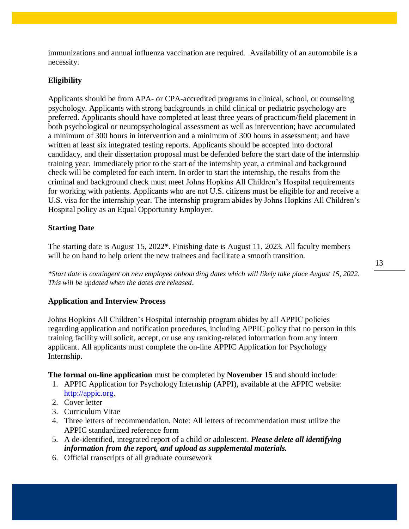immunizations and annual influenza vaccination are required. Availability of an automobile is a necessity.

# **Eligibility**

Applicants should be from APA- or CPA-accredited programs in clinical, school, or counseling psychology. Applicants with strong backgrounds in child clinical or pediatric psychology are preferred. Applicants should have completed at least three years of practicum/field placement in both psychological or neuropsychological assessment as well as intervention; have accumulated a minimum of 300 hours in intervention and a minimum of 300 hours in assessment; and have written at least six integrated testing reports. Applicants should be accepted into doctoral candidacy, and their dissertation proposal must be defended before the start date of the internship training year. Immediately prior to the start of the internship year, a criminal and background check will be completed for each intern. In order to start the internship, the results from the criminal and background check must meet Johns Hopkins All Children's Hospital requirements for working with patients. Applicants who are not U.S. citizens must be eligible for and receive a U.S. visa for the internship year. The internship program abides by Johns Hopkins All Children's Hospital policy as an Equal Opportunity Employer.

# **Starting Date**

The starting date is August 15, 2022\*. Finishing date is August 11, 2023. All faculty members will be on hand to help orient the new trainees and facilitate a smooth transition.

*\*Start date is contingent on new employee onboarding dates which will likely take place August 15, 2022. This will be updated when the dates are released*.

# **Application and Interview Process**

Johns Hopkins All Children's Hospital internship program abides by all APPIC policies regarding application and notification procedures, including APPIC policy that no person in this training facility will solicit, accept, or use any ranking-related information from any intern applicant. All applicants must complete the on-line APPIC Application for Psychology Internship.

**The formal on-line application** must be completed by **November 15** and should include:

- 1. APPIC Application for Psychology Internship (APPI), available at the APPIC website: [http://appic.org.](http://appic.org/)
- 2. Cover letter
- 3. Curriculum Vitae
- 4. Three letters of recommendation. Note: All letters of recommendation must utilize the APPIC standardized reference form
- 5. A de-identified, integrated report of a child or adolescent. *Please delete all identifying information from the report, and upload as supplemental materials.*
- 6. Official transcripts of all graduate coursework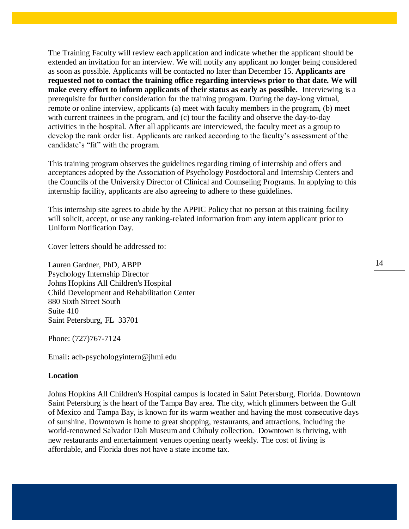The Training Faculty will review each application and indicate whether the applicant should be extended an invitation for an interview. We will notify any applicant no longer being considered as soon as possible. Applicants will be contacted no later than December 15. **Applicants are requested not to contact the training office regarding interviews prior to that date. We will make every effort to inform applicants of their status as early as possible.** Interviewing is a prerequisite for further consideration for the training program. During the day-long virtual, remote or online interview, applicants (a) meet with faculty members in the program, (b) meet with current trainees in the program, and (c) tour the facility and observe the day-to-day activities in the hospital. After all applicants are interviewed, the faculty meet as a group to develop the rank order list. Applicants are ranked according to the faculty's assessment of the candidate's "fit" with the program.

This training program observes the guidelines regarding timing of internship and offers and acceptances adopted by the Association of Psychology Postdoctoral and Internship Centers and the Councils of the University Director of Clinical and Counseling Programs. In applying to this internship facility, applicants are also agreeing to adhere to these guidelines.

This internship site agrees to abide by the APPIC Policy that no person at this training facility will solicit, accept, or use any ranking-related information from any intern applicant prior to Uniform Notification Day.

Cover letters should be addressed to:

Lauren Gardner, PhD, ABPP Psychology Internship Director Johns Hopkins All Children's Hospital Child Development and Rehabilitation Center 880 Sixth Street South Suite 410 Saint Petersburg, FL 33701

Phone: (727)767-7124

Email**:** ach-psychologyintern@jhmi.edu

#### **Location**

Johns Hopkins All Children's Hospital campus is located in Saint Petersburg, Florida. Downtown Saint Petersburg is the heart of the Tampa Bay area. The city, which glimmers between the Gulf of Mexico and Tampa Bay, is known for its warm weather and having the most consecutive days of sunshine. Downtown is home to great shopping, restaurants, and attractions, including the world-renowned Salvador Dali Museum and Chihuly collection. Downtown is thriving, with new restaurants and entertainment venues opening nearly weekly. The cost of living is affordable, and Florida does not have a state income tax.